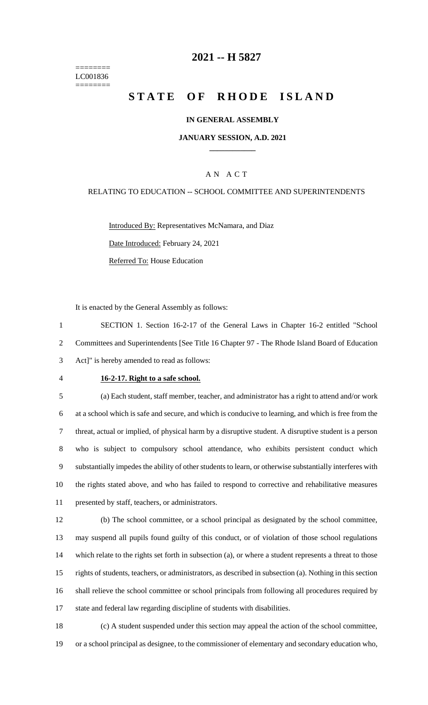======== LC001836 ========

### **-- H 5827**

# **STATE OF RHODE ISLAND**

#### **IN GENERAL ASSEMBLY**

#### **JANUARY SESSION, A.D. 2021 \_\_\_\_\_\_\_\_\_\_\_\_**

#### A N A C T

#### RELATING TO EDUCATION -- SCHOOL COMMITTEE AND SUPERINTENDENTS

Introduced By: Representatives McNamara, and Diaz Date Introduced: February 24, 2021 Referred To: House Education

It is enacted by the General Assembly as follows:

 SECTION 1. Section 16-2-17 of the General Laws in Chapter 16-2 entitled "School Committees and Superintendents [See Title 16 Chapter 97 - The Rhode Island Board of Education Act]" is hereby amended to read as follows:

### **16-2-17. Right to a safe school.**

 (a) Each student, staff member, teacher, and administrator has a right to attend and/or work at a school which is safe and secure, and which is conducive to learning, and which is free from the threat, actual or implied, of physical harm by a disruptive student. A disruptive student is a person who is subject to compulsory school attendance, who exhibits persistent conduct which substantially impedes the ability of other students to learn, or otherwise substantially interferes with the rights stated above, and who has failed to respond to corrective and rehabilitative measures presented by staff, teachers, or administrators.

 (b) The school committee, or a school principal as designated by the school committee, may suspend all pupils found guilty of this conduct, or of violation of those school regulations which relate to the rights set forth in subsection (a), or where a student represents a threat to those rights of students, teachers, or administrators, as described in subsection (a). Nothing in this section shall relieve the school committee or school principals from following all procedures required by state and federal law regarding discipline of students with disabilities.

 (c) A student suspended under this section may appeal the action of the school committee, or a school principal as designee, to the commissioner of elementary and secondary education who,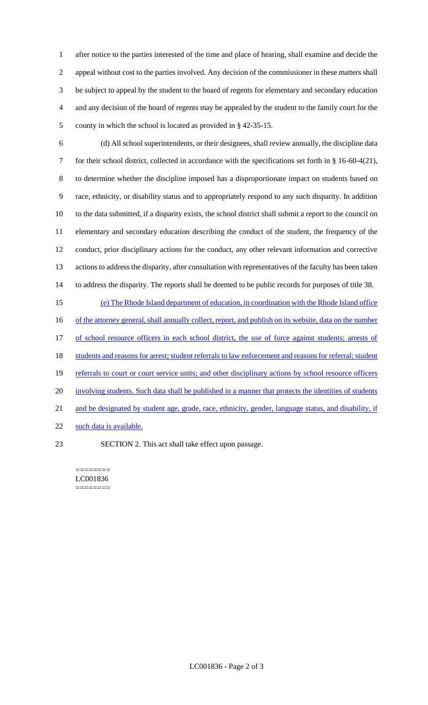after notice to the parties interested of the time and place of hearing, shall examine and decide the appeal without cost to the parties involved. Any decision of the commissioner in these matters shall be subject to appeal by the student to the board of regents for elementary and secondary education and any decision of the board of regents may be appealed by the student to the family court for the county in which the school is located as provided in § 42-35-15.

 (d) All school superintendents, or their designees, shall review annually, the discipline data for their school district, collected in accordance with the specifications set forth in § 16-60-4(21), to determine whether the discipline imposed has a disproportionate impact on students based on race, ethnicity, or disability status and to appropriately respond to any such disparity. In addition to the data submitted, if a disparity exists, the school district shall submit a report to the council on elementary and secondary education describing the conduct of the student, the frequency of the conduct, prior disciplinary actions for the conduct, any other relevant information and corrective actions to address the disparity, after consultation with representatives of the faculty has been taken to address the disparity. The reports shall be deemed to be public records for purposes of title 38.

15 (e) The Rhode Island department of education, in coordination with the Rhode Island office 16 of the attorney general, shall annually collect, report, and publish on its website, data on the number 17 of school resource officers in each school district, the use of force against students; arrests of 18 students and reasons for arrest; student referrals to law enforcement and reasons for referral; student 19 referrals to court or court service units; and other disciplinary actions by school resource officers 20 involving students. Such data shall be published in a manner that protects the identities of students 21 and be designated by student age, grade, race, ethnicity, gender, language status, and disability, if 22 such data is available.

23 SECTION 2. This act shall take effect upon passage.

======== LC001836 ========